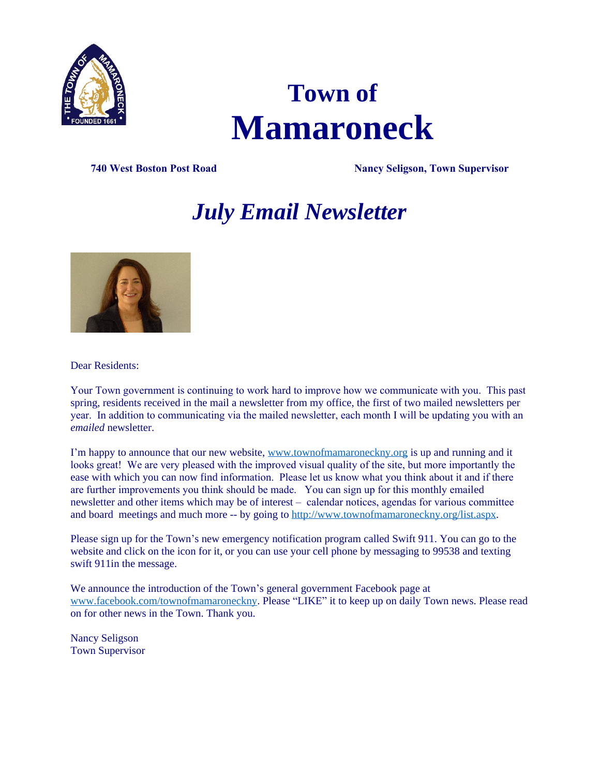

# **Town of Mamaroneck**

**740 West Boston Post Road Nancy Seligson, Town Supervisor**

# *July Email Newsletter*



Dear Residents:

Your Town government is continuing to work hard to improve how we communicate with you. This past spring, residents received in the mail a newsletter from my office, the first of two mailed newsletters per year. In addition to communicating via the mailed newsletter, each month I will be updating you with an *emailed* newsletter.

I'm happy to announce that our new website, [www.townofmamaroneckny.org](http://www.townofmamaroneckny.org) is up and running and it looks great! We are very pleased with the improved visual quality of the site, but more importantly the ease with which you can now find information. Please let us know what you think about it and if there are further improvements you think should be made. You can sign up for this monthly emailed newsletter and other items which may be of interest – calendar notices, agendas for various committee and board meetings and much more -- by going to <http://www.townofmamaroneckny.org/list.aspx>.

Please sign up for the Town's new emergency notification program called Swift 911. You can go to the website and click on the icon for it, or you can use your cell phone by messaging to 99538 and texting swift 911in the message.

We announce the introduction of the Town's general government Facebook page at [www.facebook.com/townofmamaroneckny.](http://www.facebook.com/townofmamaroneckny) Please "LIKE" it to keep up on daily Town news. Please read on for other news in the Town. Thank you.

Nancy Seligson Town Supervisor